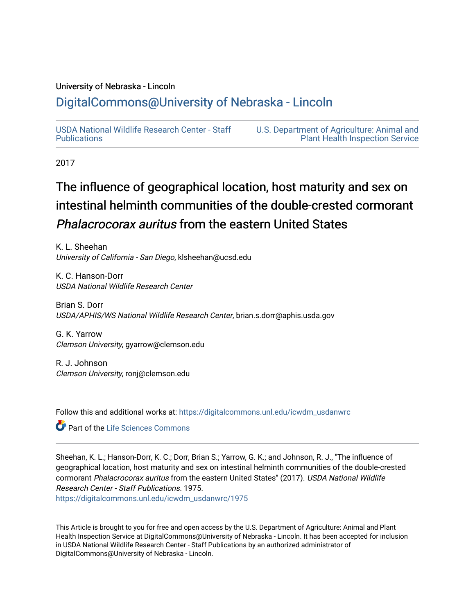### University of Nebraska - Lincoln

## [DigitalCommons@University of Nebraska - Lincoln](https://digitalcommons.unl.edu/)

[USDA National Wildlife Research Center - Staff](https://digitalcommons.unl.edu/icwdm_usdanwrc)  [Publications](https://digitalcommons.unl.edu/icwdm_usdanwrc) 

[U.S. Department of Agriculture: Animal and](https://digitalcommons.unl.edu/usdaaphis)  [Plant Health Inspection Service](https://digitalcommons.unl.edu/usdaaphis) 

2017

# The influence of geographical location, host maturity and sex on intestinal helminth communities of the double-crested cormorant Phalacrocorax auritus from the eastern United States

K. L. Sheehan University of California - San Diego, klsheehan@ucsd.edu

K. C. Hanson-Dorr USDA National Wildlife Research Center

Brian S. Dorr USDA/APHIS/WS National Wildlife Research Center, brian.s.dorr@aphis.usda.gov

G. K. Yarrow Clemson University, gyarrow@clemson.edu

R. J. Johnson Clemson University, ronj@clemson.edu

Follow this and additional works at: [https://digitalcommons.unl.edu/icwdm\\_usdanwrc](https://digitalcommons.unl.edu/icwdm_usdanwrc?utm_source=digitalcommons.unl.edu%2Ficwdm_usdanwrc%2F1975&utm_medium=PDF&utm_campaign=PDFCoverPages)

Part of the [Life Sciences Commons](http://network.bepress.com/hgg/discipline/1016?utm_source=digitalcommons.unl.edu%2Ficwdm_usdanwrc%2F1975&utm_medium=PDF&utm_campaign=PDFCoverPages) 

Sheehan, K. L.; Hanson-Dorr, K. C.; Dorr, Brian S.; Yarrow, G. K.; and Johnson, R. J., "The influence of geographical location, host maturity and sex on intestinal helminth communities of the double-crested cormorant Phalacrocorax auritus from the eastern United States" (2017). USDA National Wildlife Research Center - Staff Publications. 1975. [https://digitalcommons.unl.edu/icwdm\\_usdanwrc/1975](https://digitalcommons.unl.edu/icwdm_usdanwrc/1975?utm_source=digitalcommons.unl.edu%2Ficwdm_usdanwrc%2F1975&utm_medium=PDF&utm_campaign=PDFCoverPages) 

This Article is brought to you for free and open access by the U.S. Department of Agriculture: Animal and Plant Health Inspection Service at DigitalCommons@University of Nebraska - Lincoln. It has been accepted for inclusion in USDA National Wildlife Research Center - Staff Publications by an authorized administrator of DigitalCommons@University of Nebraska - Lincoln.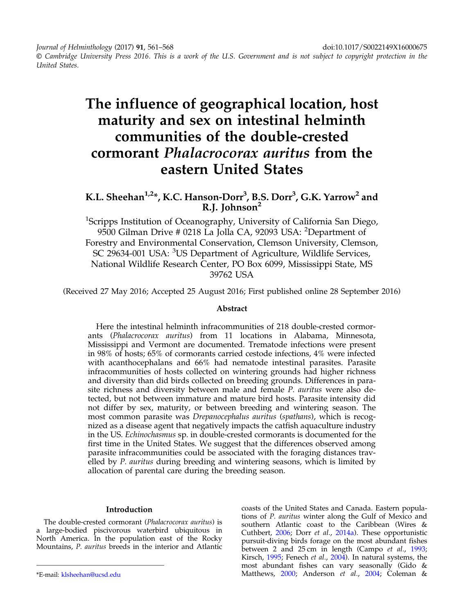Journal of Helminthology (2017) 91, 561–568 doi:10.1017/S0022149X16000675

© Cambridge University Press 2016. This is a work of the U.S. Government and is not subject to copyright protection in the United States.

## The influence of geographical location, host maturity and sex on intestinal helminth communities of the double-crested cormorant Phalacrocorax auritus from the eastern United States

### K.L. Sheehan $^{1,2*}$ , K.C. Hanson-Dorr $^3$ , B.S. Dorr $^3$ , G.K. Yarrow $^2$  and R.J. Johnson<sup>2</sup>

<sup>1</sup>Scripps Institution of Oceanography, University of California San Diego, 9500 Gilman Drive # 0218 La Jolla CA, 92093 USA: <sup>2</sup>Department of Forestry and Environmental Conservation, Clemson University, Clemson, SC 29634-001 USA: <sup>3</sup>US Department of Agriculture, Wildlife Services, National Wildlife Research Center, PO Box 6099, Mississippi State, MS 39762 USA

(Received 27 May 2016; Accepted 25 August 2016; First published online 28 September 2016)

#### Abstract

Here the intestinal helminth infracommunities of 218 double-crested cormorants (Phalacrocorax auritus) from 11 locations in Alabama, Minnesota, Mississippi and Vermont are documented. Trematode infections were present in 98% of hosts; 65% of cormorants carried cestode infections, 4% were infected with acanthocephalans and 66% had nematode intestinal parasites. Parasite infracommunities of hosts collected on wintering grounds had higher richness and diversity than did birds collected on breeding grounds. Differences in parasite richness and diversity between male and female *P. auritus* were also detected, but not between immature and mature bird hosts. Parasite intensity did not differ by sex, maturity, or between breeding and wintering season. The most common parasite was Drepanocephalus auritus (spathans), which is recognized as a disease agent that negatively impacts the catfish aquaculture industry in the US. Echinochasmus sp. in double-crested cormorants is documented for the first time in the United States. We suggest that the differences observed among parasite infracommunities could be associated with the foraging distances travelled by P. auritus during breeding and wintering seasons, which is limited by allocation of parental care during the breeding season.

#### Introduction

The double-crested cormorant (Phalacrocorax auritus) is a large-bodied piscivorous waterbird ubiquitous in North America. In the population east of the Rocky Mountains, P. auritus breeds in the interior and Atlantic

coasts of the United States and Canada. Eastern populations of P. auritus winter along the Gulf of Mexico and southern Atlantic coast to the Caribbean (Wires & Cuthbert, [2006](#page-8-0); Dorr et al., [2014a](#page-6-0)). These opportunistic pursuit-diving birds forage on the most abundant fishes between 2 and 25 cm in length (Campo et al., [1993](#page-6-0); Kirsch, [1995](#page-7-0); Fenech et al., [2004](#page-6-0)). In natural systems, the most abundant fishes can vary seasonally (Gido & \*E-mail: [klsheehan@ucsd.edu](mailto:klsheehan@ucsd.edu) Matthews, [2000](#page-6-0); Anderson et al., [2004](#page-6-0); Coleman &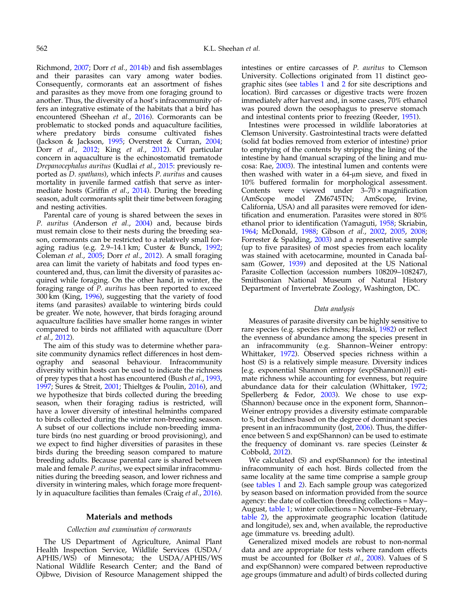Richmond, [2007;](#page-6-0) Dorr et al., [2014b\)](#page-6-0) and fish assemblages and their parasites can vary among water bodies. Consequently, cormorants eat an assortment of fishes and parasites as they move from one foraging ground to another. Thus, the diversity of a host's infracommunity offers an integrative estimate of the habitats that a bird has encountered (Sheehan et al., [2016\)](#page-7-0). Cormorants can be problematic to stocked ponds and aquaculture facilities, where predatory birds consume cultivated fishes (Jackson & Jackson, [1995](#page-7-0); Overstreet & Curran, [2004](#page-7-0); Dorr et al., [2012](#page-6-0); King et al., [2012](#page-7-0)). Of particular concern in aquaculture is the echinostomatid trematode Drepanocephalus auritus (Kudlai et al., [2015](#page-7-0): previously reported as D. spathans), which infects P. auritus and causes mortality in juvenile farmed catfish that serve as intermediate hosts (Griffin et al., [2014\)](#page-7-0). During the breeding season, adult cormorants split their time between foraging and nesting activities.

Parental care of young is shared between the sexes in P. auritus (Anderson et al., [2004](#page-6-0)) and, because birds must remain close to their nests during the breeding season, cormorants can be restricted to a relatively small foraging radius (e.g. 2.9–14.1 km; Custer & Bunck, [1992](#page-6-0); Coleman et al., [2005](#page-6-0); Dorr et al., [2012](#page-6-0)). A small foraging area can limit the variety of habitats and food types encountered and, thus, can limit the diversity of parasites acquired while foraging. On the other hand, in winter, the foraging range of P. auritus has been reported to exceed 300 km (King, [1996\)](#page-7-0), suggesting that the variety of food items (and parasites) available to wintering birds could be greater. We note, however, that birds foraging around aquaculture facilities have smaller home ranges in winter compared to birds not affiliated with aquaculture (Dorr et al., [2012](#page-6-0)).

The aim of this study was to determine whether parasite community dynamics reflect differences in host demography and seasonal behaviour. Infracommunity diversity within hosts can be used to indicate the richness of prey types that a host has encountered (Bush et al., [1993](#page-6-0), [1997](#page-6-0); Sures & Streit, [2001;](#page-7-0) Thieltges & Poulin, [2016](#page-7-0)), and we hypothesize that birds collected during the breeding season, when their foraging radius is restricted, will have a lower diversity of intestinal helminths compared to birds collected during the winter non-breeding season. A subset of our collections include non-breeding immature birds (no nest guarding or brood provisioning), and we expect to find higher diversities of parasites in these birds during the breeding season compared to mature breeding adults. Because parental care is shared between male and female P. *auritus*, we expect similar infracommunities during the breeding season, and lower richness and diversity in wintering males, which forage more frequently in aquaculture facilities than females (Craig *et al.*,  $\frac{2016}{2016}$ ).

#### Materials and methods

#### Collection and examination of cormorants

The US Department of Agriculture, Animal Plant Health Inspection Service, Wildlife Services (USDA/ APHIS/WS) of Minnesota; the USDA/APHIS/WS National Wildlife Research Center; and the Band of Ojibwe, Division of Resource Management shipped the

intestines or entire carcasses of P. auritus to Clemson University. Collections originated from 11 distinct geographic sites (see [tables 1](#page-3-0) and [2](#page-3-0) for site descriptions and location). Bird carcasses or digestive tracts were frozen immediately after harvest and, in some cases, 70% ethanol was poured down the oesophagus to preserve stomach and intestinal contents prior to freezing (Reeder, [1951](#page-7-0)).

Intestines were processed in wildlife laboratories at Clemson University. Gastrointestinal tracts were defatted (solid fat bodies removed from exterior of intestine) prior to emptying of the contents by stripping the lining of the intestine by hand (manual scraping of the lining and mucosa: Rae, [2003\)](#page-7-0). The intestinal lumen and contents were then washed with water in a 64-μm sieve, and fixed in 10% buffered formalin for morphological assessment. Contents were viewed under 3–70 × magnification<br>(AmScope model ZM6745TN: AmScope Irvine. (AmScope model ZM6745TN; AmScope, California, USA) and all parasites were removed for identification and enumeration. Parasites were stored in 80% ethanol prior to identification (Yamaguti, [1958;](#page-8-0) Skriabin, [1964](#page-7-0); McDonald, [1988;](#page-7-0) Gibson et al., [2002,](#page-6-0) [2005](#page-6-0), [2008](#page-6-0); Forrester & Spalding, [2003\)](#page-6-0) and a representative sample (up to five parasites) of most species from each locality was stained with acetocarmine, mounted in Canada balsam (Gower, [1939\)](#page-6-0) and deposited at the US National Parasite Collection (accession numbers 108209–108247), Smithsonian National Museum of Natural History Department of Invertebrate Zoology, Washington, DC.

#### Data analysis

Measures of parasite diversity can be highly sensitive to rare species (e.g. species richness; Hanski, [1982\)](#page-7-0) or reflect the evenness of abundance among the species present in an infracommunity (e.g. Shannon–Weiner entropy: Whittaker, [1972\)](#page-8-0). Observed species richness within a host (S) is a relatively simple measure. Diversity indices [e.g. exponential Shannon entropy (exp(Shannon))] estimate richness while accounting for evenness, but require abundance data for their calculation (Whittaker, [1972](#page-8-0); Spellerberg & Fedor, [2003](#page-7-0)). We chose to use exp- (Shannon) because once in the exponent form, Shannon– Weiner entropy provides a diversity estimate comparable to S, but declines based on the degree of dominant species present in an infracommunity (Jost, [2006\)](#page-7-0). Thus, the difference between S and exp(Shannon) can be used to estimate the frequency of dominant vs. rare species (Leinster  $\&$ Cobbold, [2012](#page-7-0)).

We calculated (S) and exp(Shannon) for the intestinal infracommunity of each host. Birds collected from the same locality at the same time comprise a sample group (see [tables 1](#page-3-0) and [2\)](#page-3-0). Each sample group was categorized by season based on information provided from the source agency: the date of collection (breeding collections = May– August, [table 1](#page-3-0); winter collections = November–February, [table 2](#page-3-0)), the approximate geographic location (latitude and longitude), sex and, when available, the reproductive age (immature vs. breeding adult).

Generalized mixed models are robust to non-normal data and are appropriate for tests where random effects must be accounted for (Bolker et al., [2008](#page-6-0)). Values of S and exp(Shannon) were compared between reproductive age groups (immature and adult) of birds collected during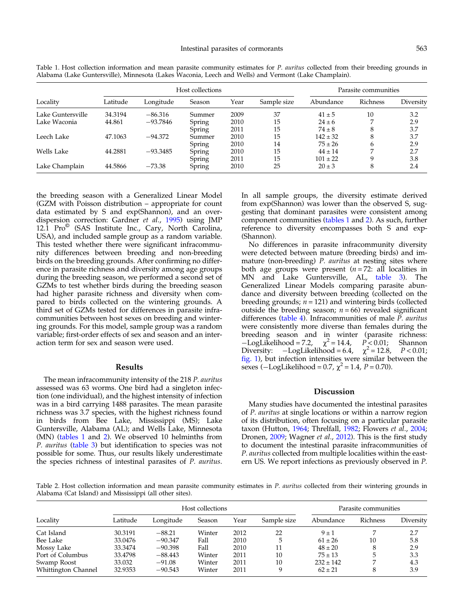| Locality          |          |            | Host collections | Parasite communities |             |              |                 |           |
|-------------------|----------|------------|------------------|----------------------|-------------|--------------|-----------------|-----------|
|                   | Latitude | Longitude  | Season           | Year                 | Sample size | Abundance    | <b>Richness</b> | Diversity |
| Lake Guntersville | 34.3194  | $-86.316$  | Summer           | 2009                 | 37          | $41 \pm 5$   | 10              | 3.2       |
| Lake Waconia      | 44.861   | $-93.7846$ | Spring           | 2010                 | 15          | $24 \pm 6$   |                 | 2.9       |
|                   |          |            | Spring           | 2011                 | 15          | $74 \pm 8$   | 8               | 3.7       |
| Leech Lake        | 47.1063  | $-94.372$  | Summer           | 2010                 | 15          | $142 \pm 32$ | 8               | 3.7       |
|                   |          |            | Spring           | 2010                 | 14          | $75 \pm 26$  | 6               | 2.9       |
| Wells Lake        | 44.2881  | $-93.3485$ | Spring           | 2010                 | 15          | $44 \pm 14$  | ⇁               | 2.7       |
|                   |          |            | Spring           | 2011                 | 15          | $101 \pm 22$ | 9               | 3.8       |
| Lake Champlain    | 44.5866  | $-73.38$   | Spring           | 2010                 | 25          | $20 \pm 3$   | 8               | 2.4       |

<span id="page-3-0"></span>Table 1. Host collection information and mean parasite community estimates for *P. auritus* collected from their breeding grounds in Alabama (Lake Guntersville), Minnesota (Lakes Waconia, Leech and Wells) and Vermont (Lake Champlain).

the breeding season with a Generalized Linear Model (GZM with Poisson distribution – appropriate for count data estimated by S and exp(Shannon), and an overdispersion correction: Gardner et al., [1995](#page-6-0)) using JMP 12.1  $Pro^{\circ}$  (SAS Institute Inc., Cary, North Carolina, USA), and included sample group as a random variable. This tested whether there were significant infracommunity differences between breeding and non-breeding birds on the breeding grounds. After confirming no difference in parasite richness and diversity among age groups during the breeding season, we performed a second set of GZMs to test whether birds during the breeding season had higher parasite richness and diversity when compared to birds collected on the wintering grounds. A third set of GZMs tested for differences in parasite infracommunities between host sexes on breeding and wintering grounds. For this model, sample group was a random variable; first-order effects of sex and season and an interaction term for sex and season were used.

#### Results

The mean infracommunity intensity of the 218 P. auritus assessed was 63 worms. One bird had a singleton infection (one individual), and the highest intensity of infection was in a bird carrying 1488 parasites. The mean parasite richness was 3.7 species, with the highest richness found in birds from Bee Lake, Mississippi (MS); Lake Guntersville, Alabama (AL); and Wells Lake, Minnesota (MN) (tables 1 and 2). We observed 10 helminths from P. auritus ([table 3](#page-4-0)) but identification to species was not possible for some. Thus, our results likely underestimate the species richness of intestinal parasites of P. auritus.

In all sample groups, the diversity estimate derived from exp(Shannon) was lower than the observed S, suggesting that dominant parasites were consistent among component communities (tables 1 and 2). As such, further reference to diversity encompasses both S and exp- (Shannon).

No differences in parasite infracommunity diversity were detected between mature (breeding birds) and immature (non-breeding) P. auritus at nesting sites where both age groups were present  $(n = 72:$  all localities in MN and Lake Guntersville, AL, [table 3\)](#page-4-0). The Generalized Linear Models comparing parasite abundance and diversity between breeding (collected on the breeding grounds;  $n = 121$ ) and wintering birds (collected outside the breeding season;  $n = 66$ ) revealed significant differences ([table 4\)](#page-4-0). Infracommunities of male P. auritus were consistently more diverse than females during the breeding season and in winter (parasite richness:  $-\text{LogLikelihood} = 7.2, \quad \chi^2 = 14.4, \quad P < 0.01;$  Shannon<br>Diversity:  $-\text{LogLikelihood} = 6.4, \quad \chi^2 = 12.8, \quad P < 0.01;$  $-LogLikelihood = 6.4, \quad \chi^2 = 12.8, \quad P < 0.01;$ [fig. 1\)](#page-5-0), but infection intensities were similar between the sexes (−LogLikelihood = 0.7,  $\chi^2$  = 1.4, P = 0.70).

#### Discussion

Many studies have documented the intestinal parasites of P. auritus at single locations or within a narrow region of its distribution, often focusing on a particular parasite taxon (Hutton, [1964;](#page-7-0) Threlfall, [1982](#page-7-0); Flowers et al., [2004](#page-6-0); Dronen, [2009](#page-6-0); Wagner et al., [2012\)](#page-8-0). This is the first study to document the intestinal parasite infracommunities of P. auritus collected from multiple localities within the eastern US. We report infections as previously observed in P.

Table 2. Host collection information and mean parasite community estimates in P. auritus collected from their wintering grounds in Alabama (Cat Island) and Mississippi (all other sites).

| Locality            | Host collections |           |        |      |             | Parasite communities |          |           |
|---------------------|------------------|-----------|--------|------|-------------|----------------------|----------|-----------|
|                     | Latitude         | Longitude | Season | Year | Sample size | Abundance            | Richness | Diversity |
| Cat Island          | 30.3191          | $-88.21$  | Winter | 2012 | 22          | $9 \pm 1$            | ⇁        | 2.7       |
| Bee Lake            | 33.0476          | $-90.347$ | Fall   | 2010 | 5           | $61 \pm 26$          | 10       | 5.8       |
| Mossy Lake          | 33.3474          | $-90.398$ | Fall   | 2010 | 11          | $48 \pm 20$          |          | 2.9       |
| Port of Columbus    | 33.4798          | $-88.443$ | Winter | 2011 | 10          | $75 \pm 13$          |          | 3.3       |
| Swamp Roost         | 33.032           | $-91.08$  | Winter | 2011 | 10          | $232 \pm 142$        |          | 4.3       |
| Whittington Channel | 32.9353          | $-90.543$ | Winter | 2011 | q           | $62 \pm 21$          | 8        | 3.9       |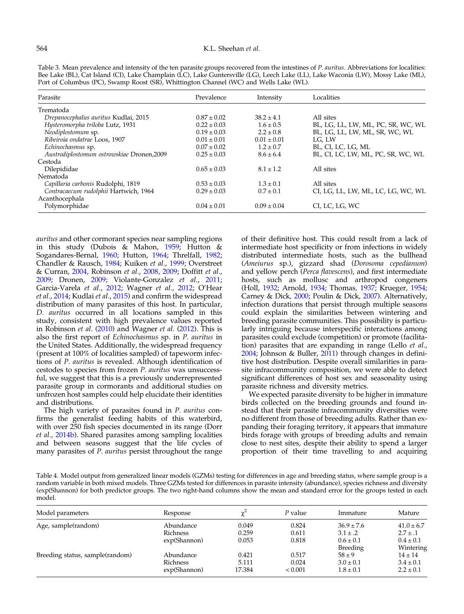<span id="page-4-0"></span>Table 3. Mean prevalence and intensity of the ten parasite groups recovered from the intestines of P. auritus. Abbreviations for localities: Bee Lake (BL), Cat Island (CI), Lake Champlain (LC), Lake Guntersville (LG), Leech Lake (LL), Lake Waconia (LW), Mossy Lake (ML), Port of Columbus (PC), Swamp Roost (SR), Whittington Channel (WC) and Wells Lake (WL).

| Parasite                                  | Prevalence      | Intensity       | Localities                         |
|-------------------------------------------|-----------------|-----------------|------------------------------------|
| Trematoda                                 |                 |                 |                                    |
| Drepanocephalus auritus Kudlai, 2015      | $0.87 \pm 0.02$ | $38.2 \pm 4.1$  | All sites                          |
| Hysteromorpha triloba Lutz, 1931          | $0.22 \pm 0.03$ | $1.6 \pm 0.5$   | BL, LG, LL, LW, ML, PC, SR, WC, WL |
| Neodiplostomum sp.                        | $0.19 \pm 0.03$ | $2.2 \pm 0.8$   | BL, LG, LL, LW, ML, SR, WC, WL     |
| Ribeiroia ondatrae Loos, 1907             | $0.01 \pm 0.01$ | $0.01 \pm 0.01$ | LG. LW                             |
| Echinochasmus sp.                         | $0.07 \pm 0.02$ | $1.2 \pm 0.7$   | BL, CI, LC, LG, ML                 |
| Austrodiplostomum ostrowskiae Dronen,2009 | $0.25 \pm 0.03$ | $8.6 \pm 6.4$   | BL, CI, LC, LW, ML, PC, SR, WC, WL |
| Cestoda                                   |                 |                 |                                    |
| Dilepididae                               | $0.65 \pm 0.03$ | $8.1 \pm 1.2$   | All sites                          |
| Nematoda                                  |                 |                 |                                    |
| Capillaria carbonis Rudolphi, 1819        | $0.53 \pm 0.03$ | $1.3 \pm 0.1$   | All sites                          |
| Contracaecum rudolphii Hartwich, 1964     | $0.29 \pm 0.03$ | $0.7 \pm 0.1$   | CI, LG, LL, LW, ML, LC, LG, WC, WL |
| Acanthocephala                            |                 |                 |                                    |
| Polymorphidae                             | $0.04 \pm 0.01$ | $0.09 \pm 0.04$ | CI, LC, LG, WC                     |

auritus and other cormorant species near sampling regions in this study (Dubois & Mahon, [1959](#page-6-0); Hutton & Sogandares-Bernal, [1960](#page-7-0); Hutton, [1964](#page-7-0); Threlfall, [1982](#page-7-0); Chandler & Rausch, [1984;](#page-6-0) Kuiken et al., [1999](#page-7-0); Overstreet & Curran, [2004](#page-7-0), Robinson et al., [2008](#page-7-0), [2009;](#page-7-0) Doffitt et al., [2009](#page-6-0); Dronen, [2009](#page-6-0); Violante-Gonzalez et al., [2011](#page-7-0); Garcia-Varela et al., [2012](#page-6-0); Wagner et al., [2012;](#page-8-0) O'Hear et al., [2014;](#page-7-0) Kudlai et al., [2015](#page-7-0)) and confirm the widespread distribution of many parasites of this host. In particular, D. auritus occurred in all locations sampled in this study, consistent with high prevalence values reported in Robinson et al. [\(2010](#page-7-0)) and Wagner et al. [\(2012](#page-8-0)). This is also the first report of Echinochasmus sp. in P. auritus in the United States. Additionally, the widespread frequency (present at 100% of localities sampled) of tapeworm infections of P. auritus is revealed. Although identification of cestodes to species from frozen P. auritus was unsuccessful, we suggest that this is a previously underrepresented parasite group in cormorants and additional studies on unfrozen host samples could help elucidate their identities and distributions.

The high variety of parasites found in P. auritus confirms the generalist feeding habits of this waterbird, with over 250 fish species documented in its range (Dorr et al., [2014b\)](#page-6-0). Shared parasites among sampling localities and between seasons suggest that the life cycles of many parasites of *P. auritus* persist throughout the range of their definitive host. This could result from a lack of intermediate host specificity or from infections in widely distributed intermediate hosts, such as the bullhead (Ameiurus sp.), gizzard shad (Dorosoma cepedianum) and yellow perch (Perca flavescens), and first intermediate hosts, such as mollusc and arthropod congeners (Holl, [1932](#page-7-0); Arnold, [1934](#page-6-0); Thomas, [1937](#page-7-0); Krueger, [1954](#page-7-0); Carney & Dick, [2000](#page-6-0); Poulin & Dick, [2007\)](#page-7-0). Alternatively, infection durations that persist through multiple seasons could explain the similarities between wintering and breeding parasite communities. This possibility is particularly intriguing because interspecific interactions among parasites could exclude (competition) or promote (facilitation) parasites that are expanding in range (Lello et al., [2004](#page-7-0); Johnson & Buller, [2011](#page-7-0)) through changes in definitive host distribution. Despite overall similarities in parasite infracommunity composition, we were able to detect significant differences of host sex and seasonality using parasite richness and diversity metrics.

We expected parasite diversity to be higher in immature birds collected on the breeding grounds and found instead that their parasite infracommunity diversities were no different from those of breeding adults. Rather than expanding their foraging territory, it appears that immature birds forage with groups of breeding adults and remain close to nest sites, despite their ability to spend a larger proportion of their time travelling to and acquiring

Table 4. Model output from generalized linear models (GZMs) testing for differences in age and breeding status, where sample group is a random variable in both mixed models. Three GZMs tested for differences in parasite intensity (abundance), species richness and diversity (exp(Shannon) for both predictor groups. The two right-hand columns show the mean and standard error for the groups tested in each model.

| Model parameters                | Response     |        | P value | Immature                  | Mature                     |
|---------------------------------|--------------|--------|---------|---------------------------|----------------------------|
| Age, sample(random)             | Abundance    | 0.049  | 0.824   | $36.9 \pm 7.6$            | $41.0 \pm 6.7$             |
|                                 | Richness     | 0.259  | 0.611   | $3.1 \pm .2$              | $2.7 \pm .1$               |
|                                 | exp(Shannon) | 0.053  | 0.818   | $0.6 \pm 0.1$<br>Breeding | $0.4 \pm 0.1$<br>Wintering |
| Breeding status, sample(random) | Abundance    | 0.421  | 0.517   | $58 \pm 9$                | $14 \pm 14$                |
|                                 | Richness     | 5.111  | 0.024   | $3.0 \pm 0.1$             | $3.4 \pm 0.1$              |
|                                 | exp(Shannon) | 17.384 | < 0.001 | $1.8 \pm 0.1$             | $2.2 \pm 0.1$              |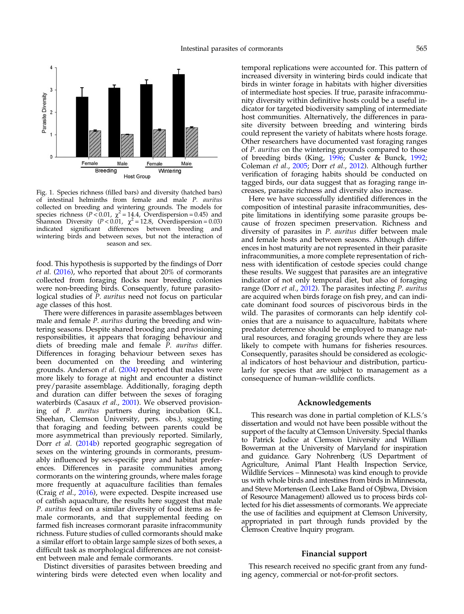<span id="page-5-0"></span>

Fig. 1. Species richness (filled bars) and diversity (hatched bars) of intestinal helminths from female and male P. auritus collected on breeding and wintering grounds. The models for species richness ( $P < 0.01$ ,  $\chi^2 = 14.4$ , Overdispersion = 0.45) and Shannon Diversity ( $P < 0.01$ ,  $\chi^2 = 12.8$ , Overdispersion = 0.03) indicated significant differences between breeding and wintering birds and between sexes, but not the interaction of season and sex.

food. This hypothesis is supported by the findings of Dorr et al. ([2016\)](#page-6-0), who reported that about 20% of cormorants collected from foraging flocks near breeding colonies were non-breeding birds. Consequently, future parasitological studies of P. auritus need not focus on particular age classes of this host.

There were differences in parasite assemblages between male and female P. auritus during the breeding and wintering seasons. Despite shared brooding and provisioning responsibilities, it appears that foraging behaviour and diets of breeding male and female P. auritus differ. Differences in foraging behaviour between sexes has been documented on the breeding and wintering grounds. Anderson et al. [\(2004](#page-6-0)) reported that males were more likely to forage at night and encounter a distinct prey/parasite assemblage. Additionally, foraging depth and duration can differ between the sexes of foraging waterbirds (Casaux *et al.*, [2001](#page-6-0)). We observed provisioning of P. auritus partners during incubation (K.L. Sheehan, Clemson University, pers. obs.), suggesting that foraging and feeding between parents could be more asymmetrical than previously reported. Similarly, Dorr et al. ([2014b\)](#page-6-0) reported geographic segregation of sexes on the wintering grounds in cormorants, presumably influenced by sex-specific prey and habitat preferences. Differences in parasite communities among cormorants on the wintering grounds, where males forage more frequently at aquaculture facilities than females (Craig et al., [2016](#page-6-0)), were expected. Despite increased use of catfish aquaculture, the results here suggest that male P. auritus feed on a similar diversity of food items as female cormorants, and that supplemental feeding on farmed fish increases cormorant parasite infracommunity richness. Future studies of culled cormorants should make a similar effort to obtain large sample sizes of both sexes, a difficult task as morphological differences are not consistent between male and female cormorants.

Distinct diversities of parasites between breeding and wintering birds were detected even when locality and temporal replications were accounted for. This pattern of increased diversity in wintering birds could indicate that birds in winter forage in habitats with higher diversities of intermediate host species. If true, parasite infracommunity diversity within definitive hosts could be a useful indicator for targeted biodiversity sampling of intermediate host communities. Alternatively, the differences in parasite diversity between breeding and wintering birds could represent the variety of habitats where hosts forage. Other researchers have documented vast foraging ranges of P. auritus on the wintering grounds compared to those of breeding birds (King, [1996](#page-7-0); Custer & Bunck, [1992](#page-6-0); Coleman et al., [2005;](#page-6-0) Dorr et al., [2012](#page-6-0)). Although further verification of foraging habits should be conducted on tagged birds, our data suggest that as foraging range increases, parasite richness and diversity also increase.

Here we have successfully identified differences in the composition of intestinal parasite infracommunities, despite limitations in identifying some parasite groups because of frozen specimen preservation. Richness and diversity of parasites in P. auritus differ between male and female hosts and between seasons. Although differences in host maturity are not represented in their parasite infracommunities, a more complete representation of richness with identification of cestode species could change these results. We suggest that parasites are an integrative indicator of not only temporal diet, but also of foraging range (Dorr et al., [2012\)](#page-6-0). The parasites infecting P. auritus are acquired when birds forage on fish prey, and can indicate dominant food sources of piscivorous birds in the wild. The parasites of cormorants can help identify colonies that are a nuisance to aquaculture, habitats where predator deterrence should be employed to manage natural resources, and foraging grounds where they are less likely to compete with humans for fisheries resources. Consequently, parasites should be considered as ecological indicators of host behaviour and distribution, particularly for species that are subject to management as a consequence of human–wildlife conflicts.

#### Acknowledgements

This research was done in partial completion of K.L.S.'s dissertation and would not have been possible without the support of the faculty at Clemson University. Special thanks to Patrick Jodice at Clemson University and William Bowerman at the University of Maryland for inspiration and guidance. Gary Nohrenberg (US Department of Agriculture, Animal Plant Health Inspection Service, Wildlife Services – Minnesota) was kind enough to provide us with whole birds and intestines from birds in Minnesota, and Steve Mortensen (Leech Lake Band of Ojibwa, Division of Resource Management) allowed us to process birds collected for his diet assessments of cormorants. We appreciate the use of facilities and equipment at Clemson University, appropriated in part through funds provided by the Clemson Creative Inquiry program.

#### Financial support

This research received no specific grant from any funding agency, commercial or not-for-profit sectors.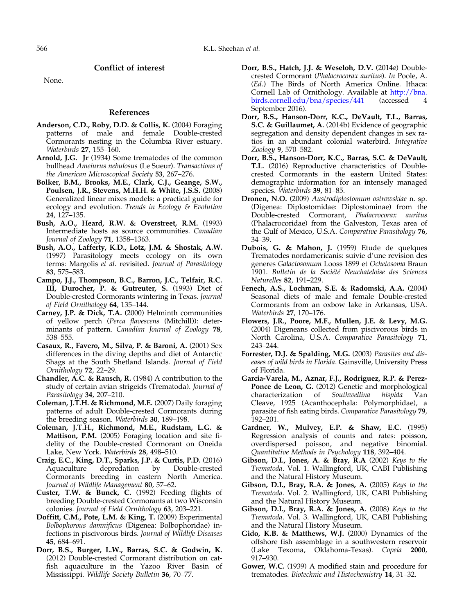Conflict of interest

<span id="page-6-0"></span>None.

#### References

- Anderson, C.D., Roby, D.D. & Collis, K. (2004) Foraging patterns of male and female Double-crested Cormorants nesting in the Columbia River estuary. Waterbirds 27, 155–160.
- Arnold, J.G. Jr (1934) Some trematodes of the common bullhead Ameiurus nebulosus (Le Sueur). Transactions of the American Microscopical Society 53, 267–276.
- Bolker, B.M., Brooks, M.E., Clark, C.J., Geange, S.W., Poulsen, J.R., Stevens, M.H.H. & White, J.S.S. (2008) Generalized linear mixes models: a practical guide for ecology and evolution. Trends in Ecology & Evolution 24, 127–135.
- Bush, A.O., Heard, R.W. & Overstreet, R.M. (1993) Intermediate hosts as source communities. Canadian Journal of Zoology 71, 1358–1363.
- Bush, A.O., Lafferty, K.D., Lotz, J.M. & Shostak, A.W. (1997) Parasitology meets ecology on its own terms: Margolis et al. revisited. Journal of Parasitology 83, 575–583.
- Campo, J.J., Thompson, B.C., Barron, J.C., Telfair, R.C. III, Durocher, P. & Gutreuter, S. (1993) Diet of Double-crested Cormorants wintering in Texas. Journal of Field Ornithology 64, 135–144.
- Carney, J.P. & Dick, T.A. (2000) Helminth communities of yellow perch (Perca flavescens (Mitchill)): determinants of pattern. Canadian Journal of Zoology 78, 538–555.
- Casaux, R., Favero, M., Silva, P. & Baroni, A. (2001) Sex differences in the diving depths and diet of Antarctic Shags at the South Shetland Islands. Journal of Field Ornithology 72, 22–29.
- Chandler, A.C. & Rausch, R. (1984) A contribution to the study of certain avian strigeids (Trematoda). Journal of Parasitology 34, 207–210.
- Coleman, J.T.H. & Richmond, M.E. (2007) Daily foraging patterns of adult Double-crested Cormorants during the breeding season. Waterbirds 30, 189–198.
- Coleman, J.T.H., Richmond, M.E., Rudstam, L.G. & Mattison, P.M. (2005) Foraging location and site fidelity of the Double-crested Cormorant on Oneida Lake, New York. Waterbirds 28, 498–510.
- Craig, E.C., King, D.T., Sparks, J.P. & Curtis, P.D. (2016) Aquaculture depredation by Double-crested Cormorants breeding in eastern North America. Journal of Wildlife Management 80, 57–62.
- Custer, T.W. & Bunck, C. (1992) Feeding flights of breeding Double-crested Cormorants at two Wisconsin colonies. Journal of Field Ornithology 63, 203–221.
- Doffitt, C.M., Pote, L.M. & King, T. (2009) Experimental Bolbophorous damnificus (Digenea: Bolbophoridae) infections in piscivorous birds. Journal of Wildlife Diseases 45, 684–691.
- Dorr, B.S., Burger, L.W., Barras, S.C. & Godwin, K. (2012) Double-crested Cormorant distribution on catfish aquaculture in the Yazoo River Basin of Mississippi. Wildlife Society Bulletin 36, 70–77.
- Dorr, B.S., Hatch, J.J. & Weseloh, D.V. (2014a) Doublecrested Cormorant (Phalacrocorax auritus). In Poole, A. (Ed.) The Birds of North America Online. Ithaca: Cornell Lab of Ornithology. Available at [http://bna.](http://bna.birds.cornell.edu/bna/species/441) [birds.cornell.edu/bna/species/441](http://bna.birds.cornell.edu/bna/species/441) September 2016).
- Dorr, B.S., Hanson-Dorr, K.C., DeVault, T.L., Barras, S.C. & Guillaumet, A. (2014b) Evidence of geographic segregation and density dependent changes in sex ratios in an abundant colonial waterbird. Integrative Zoology 9, 570–582.
- Dorr, B.S., Hanson-Dorr, K.C., Barras, S.C. & DeVault, T.L. (2016) Reproductive characteristics of Doublecrested Cormorants in the eastern United States: demographic information for an intensely managed species. Waterbirds 39, 81–85.
- Dronen, N.O. (2009) Austrodiplostomum ostrowskiae n. sp. (Digenea: Diplostomidae: Diplostominae) from the Double-crested Cormorant, Phalacrocorax auritus (Phalacrocoridae) from the Galveston, Texas area of the Gulf of Mexico, U.S.A. Comparative Parasitology 76, 34–39.
- Dubois, G. & Mahon, J. (1959) Etude de quelques Trematodes nordamericanis: suivie d'une revision des generes Galactosomum Looss 1899 et Ochetosoma Braun 1901. Bulletin de la Société Neuchateloise des Sciences Naturelles 82, 191–229.
- Fenech, A.S., Lochman, S.E. & Radomski, A.A. (2004) Seasonal diets of male and female Double-crested Cormorants from an oxbow lake in Arkansas, USA. Waterbirds 27, 170–176.
- Flowers, J.R., Poore, M.F., Mullen, J.E. & Levy, M.G. (2004) Digeneans collected from piscivorous birds in North Carolina, U.S.A. Comparative Parasitology 71, 243–244.
- Forrester, D.J. & Spalding, M.G. (2003) Parasites and diseases of wild birds in Florida. Gainsville, University Press of Florida.
- Garcia-Varela, M., Aznar, F.J., Rodriguez, R.P. & Perez-Ponce de Leon, G. (2012) Genetic and morphological<br>characterization of *Southwellina hispida* Van characterization of Southwellina hispida Van Cleave, 1925 (Acanthocephala: Polymorphidae), a parasite of fish eating birds. Comparative Parasitology 79, 192–201.
- Gardner, W., Mulvey, E.P. & Shaw, E.C. (1995) Regression analysis of counts and rates: poisson, overdispersed poisson, and negative binomial. Quantitative Methods in Psychology 118, 392–404.
- Gibson, D.I., Jones, A. & Bray, R.A (2002) Keys to the Trematoda. Vol. 1. Wallingford, UK, CABI Publishing and the Natural History Museum.
- Gibson, D.I., Bray, R.A. & Jones, A. (2005) Keys to the Trematoda. Vol. 2. Wallingford, UK, CABI Publishing and the Natural History Museum.
- Gibson, D.I., Bray, R.A. & Jones, A. (2008) Keys to the Trematoda. Vol. 3. Wallingford, UK, CABI Publishing and the Natural History Museum.
- Gido, K.B. & Matthews, W.J. (2000) Dynamics of the offshore fish assemblage in a southwestern reservoir (Lake Texoma, Oklahoma-Texas). Copeia 2000, 917–930.
- Gower, W.C. (1939) A modified stain and procedure for trematodes. Biotechnic and Histochemistry 14, 31–32.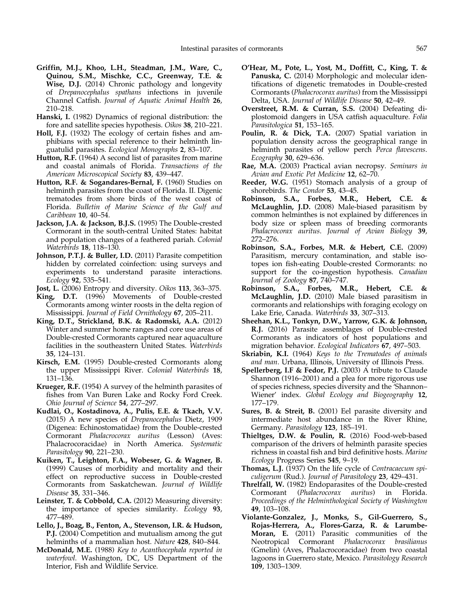- <span id="page-7-0"></span>Griffin, M.J., Khoo, L.H., Steadman, J.M., Ware, C., Quinou, S.M., Mischke, C.C., Greenway, T.E. & Wise, D.J. (2014) Chronic pathology and longevity of Drepanocephalus spathans infections in juvenile Channel Catfish. Journal of Aquatic Animal Health 26, 210–218.
- Hanski, I. (1982) Dynamics of regional distribution: the fore and satellite species hypothesis. Oikos 38, 210–221.
- Holl, F.J. (1932) The ecology of certain fishes and amphibians with special reference to their helminth linguatulid parasites. Ecological Monographs 2, 83–107.
- Hutton, R.F. (1964) A second list of parasites from marine and coastal animals of Florida. Transactions of the American Microscopical Society 83, 439–447.
- Hutton, R.F. & Sogandares-Bernal, F. (1960) Studies on helminth parasites from the coast of Florida. II. Digenic trematodes from shore birds of the west coast of Florida. Bulletin of Marine Science of the Gulf and Caribbean 10, 40–54.
- Jackson, J.A. & Jackson, B.J.S. (1995) The Double-crested Cormorant in the south-central United States: habitat and population changes of a feathered pariah. Colonial Waterbirds 18, 118–130.
- Johnson, P.T.J. & Buller, I.D. (2011) Parasite competition hidden by correlated coinfection: using surveys and experiments to understand parasite interactions. Ecology 92, 535–541.
- Jost, L. (2006) Entropy and diversity. Oikos 113, 363–375.
- King, D.T. (1996) Movements of Double-crested Cormorants among winter roosts in the delta region of Mississippi. Journal of Field Ornithology 67, 205–211.
- King, D.T., Strickland, B.K. & Radomski, A.A. (2012) Winter and summer home ranges and core use areas of Double-crested Cormorants captured near aquaculture facilities in the southeastern United States. Waterbirds 35, 124–131.
- Kirsch, E.M. (1995) Double-crested Cormorants along the upper Mississippi River. Colonial Waterbirds 18, 131–136.
- Krueger, R.F. (1954) A survey of the helminth parasites of fishes from Van Buren Lake and Rocky Ford Creek. Ohio Journal of Science 54, 277–297.
- Kudlai, O., Kostadinova, A., Pulis, E.E. & Tkach, V.V. (2015) A new species of Drepanocephalus Dietz, 1909 (Digenea: Echinostomatidae) from the Double-crested Cormorant Phalacrocorax auritus (Lesson) (Aves: Phalacrocoracidae) in North America. Systematic Parasitology 90, 221–230.
- Kuiken, T., Leighton, F.A., Wobeser, G. & Wagner, B. (1999) Causes of morbidity and mortality and their effect on reproductive success in Double-crested Cormorants from Saskatchewan. Journal of Wildlife Disease 35, 331–346.
- Leinster, T. & Cobbold, C.A. (2012) Measuring diversity: the importance of species similarity. Ecology 93, 477–489.
- Lello, J., Boag, B., Fenton, A., Stevenson, I.R. & Hudson, P.J. (2004) Competition and mutualism among the gut helminths of a mammalian host. Nature 428, 840–844.
- McDonald, M.E. (1988) Key to Acanthocephala reported in waterfowl. Washington, DC, US Department of the Interior, Fish and Wildlife Service.
- O'Hear, M., Pote, L., Yost, M., Doffitt, C., King, T. & Panuska, C. (2014) Morphologic and molecular identifications of digenetic trematodes in Double-crested Cormorants (Phalacrocorax auritus) from the Mississippi Delta, USA. Journal of Wildlife Disease 50, 42–49.
- Overstreet, R.M. & Curran, S.S. (2004) Defeating diplostomoid dangers in USA catfish aquaculture. Folia Parasitologica 51, 153–165.
- Poulin, R. & Dick, T.A. (2007) Spatial variation in population density across the geographical range in helminth parasites of yellow perch Perca flavescens. Ecography 30, 629–636.
- Rae, M.A. (2003) Practical avian necropsy. Seminars in Avian and Exotic Pet Medicine 12, 62–70.
- Reeder, W.G. (1951) Stomach analysis of a group of shorebirds. The Condor 53, 43-45.
- Robinson, S.A., Forbes, M.R., Hebert, C.E. & McLaughlin, J.D. (2008) Male-biased parasitism by common helminthes is not explained by differences in body size or spleen mass of breeding cormorants Phalacrocorax auritus. Journal of Avian Biology 39, 272–276.
- Robinson, S.A., Forbes, M.R. & Hebert, C.E. (2009) Parasitism, mercury contamination, and stable isotopes ion fish-eating Double-crested Cormorants: no support for the co-ingestion hypothesis. Canadian Journal of Zoology 87, 740-747.
- Robinson, S.A., Forbes, M.R., Hebert, C.E. & McLaughlin, J.D. (2010) Male biased parasitism in cormorants and relationships with foraging ecology on Lake Erie, Canada. Waterbirds 33, 307–313.
- Sheehan, K.L., Tonkyn, D.W., Yarrow, G.K. & Johnson, R.J. (2016) Parasite assemblages of Double-crested Cormorants as indicators of host populations and migration behavior. Ecological Indicators 67, 497-503.
- Skriabin, K.I. (1964) Keys to the Trematodes of animals and man. Urbana, Illinois, University of Illinois Press.
- Spellerberg, I.F & Fedor, P.J. (2003) A tribute to Claude Shannon (1916–2001) and a plea for more rigorous use of species richness, species diversity and the 'Shannon– Wiener' index. Global Ecology and Biogeography 12, 177–179.
- Sures, B. & Streit, B. (2001) Eel parasite diversity and intermediate host abundance in the River Rhine, Germany. Parasitology 123, 185-191.
- Thieltges, D.W. & Poulin, R. (2016) Food-web-based comparison of the drivers of helminth parasite species richness in coastal fish and bird definitive hosts. Marine Ecology Progress Series 545, 9–19.
- Thomas, L.I. (1937) On the life cycle of Contracaecum spiculigerum (Rud.). Journal of Parasitology 23, 429–431.
- Threlfall, W. (1982) Endoparasites of the Double-crested<br>Cormorant (*Phalacrocorax auritus*) in Florida. Cormorant (Phalacrocorax auritus) in Proceedings of the Helminthological Society of Washington 49, 103–108.
- Violante-Gonzalez, J., Monks, S., Gil-Guerrero, S., Rojas-Herrera, A., Flores-Garza, R. & Larumbe-Moran, E. (2011) Parasitic communities of the Neotropical Cormorant Phalacrocorax brasilianus (Gmelin) (Aves, Phalacrocoracidae) from two coastal lagoons in Guerrero state, Mexico. Parasitology Research 109, 1303–1309.